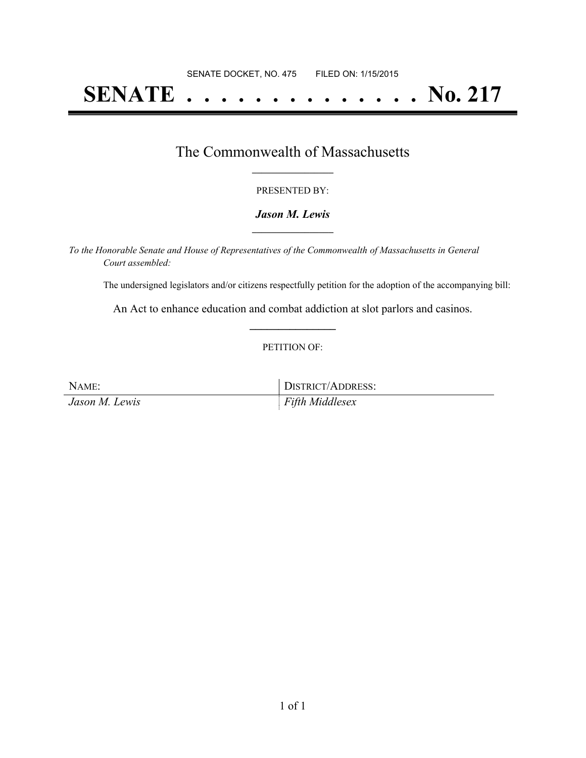# **SENATE . . . . . . . . . . . . . . No. 217**

### The Commonwealth of Massachusetts **\_\_\_\_\_\_\_\_\_\_\_\_\_\_\_\_\_**

#### PRESENTED BY:

#### *Jason M. Lewis* **\_\_\_\_\_\_\_\_\_\_\_\_\_\_\_\_\_**

*To the Honorable Senate and House of Representatives of the Commonwealth of Massachusetts in General Court assembled:*

The undersigned legislators and/or citizens respectfully petition for the adoption of the accompanying bill:

An Act to enhance education and combat addiction at slot parlors and casinos. **\_\_\_\_\_\_\_\_\_\_\_\_\_\_\_**

#### PETITION OF:

| NAME:          | DISTRICT/ADDRESS:  |
|----------------|--------------------|
| Jason M. Lewis | $F$ ifth Middlesex |